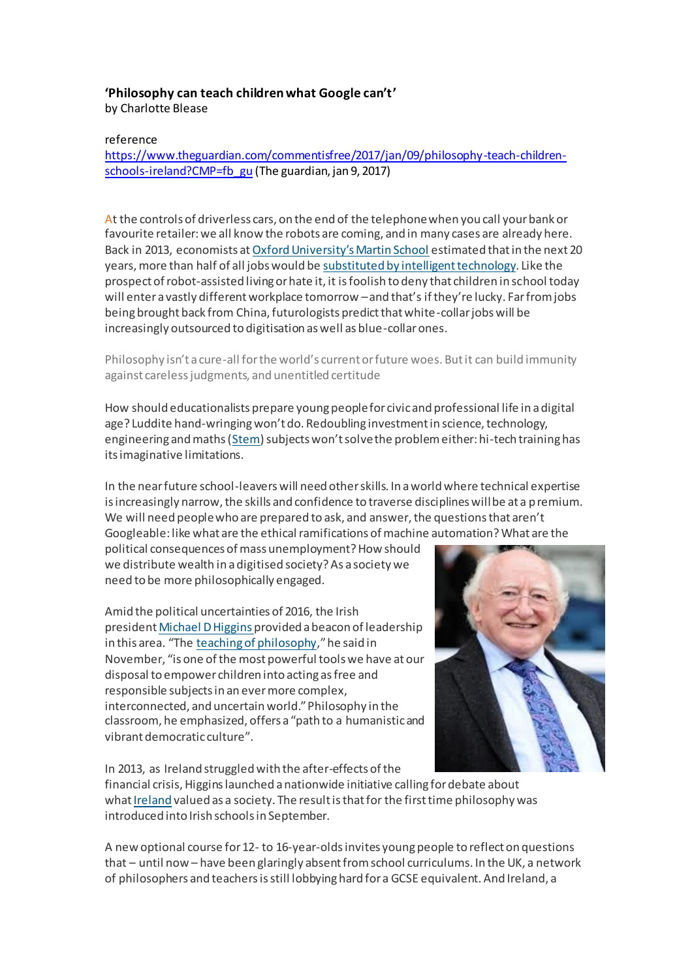## **'Philosophy can teach children what Google can't'**

by Charlotte Blease

## reference

[https://www.theguardian.com/commentisfree/2017/jan/09/philosophy-teach-children](https://www.theguardian.com/commentisfree/2017/jan/09/philosophy-teach-children-schools-ireland?CMP=fb_gu)[schools-ireland?CMP=fb\\_gu](https://www.theguardian.com/commentisfree/2017/jan/09/philosophy-teach-children-schools-ireland?CMP=fb_gu) (The guardian, jan 9, 2017)

At the controls of driverless cars, on the end of the telephone when you call your bank or favourite retailer: we all know the robots are coming, and in many cases are already here. Back in 2013, economists at [Oxford University's Martin School](http://www.oxfordmartin.ox.ac.uk/) estimated that in the next 20 years, more than half of all jobs would be [substituted by intelligent technology](https://www.theguardian.com/technology/2015/feb/09/robots-manual-jobs-now-people-skills-take-over-your-job). Like the prospect of robot-assisted living or hate it, it is foolish to deny that children in school today will enter a vastly different workplace tomorrow –and that's if they're lucky. Far from jobs being brought back from China, futurologists predict that white-collar jobs will be increasingly outsourced to digitisation as well as blue-collar ones.

Philosophy isn't a cure-all for the world's current or future woes. But it can build immunity against careless judgments, and unentitled certitude

How should educationalists prepare young people for civic and professional life in a digital age? Luddite hand-wringing won't do. Redoubling investment in science, technology, engineering and maths [\(Stem](https://www.theguardian.com/higher-education-network/blog/2014/apr/10/more-students-accepted-onto-stem-courses-hefce-report)) subjects won't solve the problem either: hi-tech training has its imaginative limitations.

In the near future school-leavers will need other skills. In a world where technical expertise is increasingly narrow, the skills and confidence to traverse disciplines will be at a premium. We will need people who are prepared to ask, and answer, the questions that aren't Googleable: like what are the ethical ramifications of machine automation? What are the

political consequences of mass unemployment? How should we distribute wealth in a digitised society? As a society we need to be more philosophically engaged.

Amid the political uncertainties of 2016, the Irish president [Michael D Higgins](https://www.theguardian.com/world/2014/apr/08/michael-d-higgins-irelands-poet-president) provided a beacon of leadership in this area. "The [teaching of philosophy](http://www.president.ie/en/diary/details/president-hosts-a-reception-for-members-of-philosophy-ireland)," he said in November, "is one of the most powerful tools we have at our disposal to empower children into acting as free and responsible subjects in an ever more complex, interconnected, and uncertain world." Philosophy in the classroom, he emphasized, offers a "path to a humanistic and vibrant democratic culture".

In 2013, as Ireland struggled with the after-effects of the

financial crisis, Higgins launched a nationwide initiative calling for debate about what Ireland valued as a society. The result is that for the first time philosophy was introduced into Irish schools in September.

A new optional course for 12- to 16-year-olds invites young people to reflect on questions that – until now – have been glaringly absent from school curriculums. In the UK, a network of philosophers and teachers is still lobbying hard for a GCSE equivalent. And Ireland, a